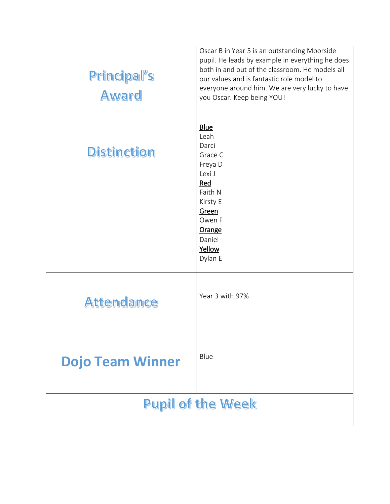| Principal's<br><b>Award</b> | Oscar B in Year 5 is an outstanding Moorside<br>pupil. He leads by example in everything he does<br>both in and out of the classroom. He models all<br>our values and is fantastic role model to<br>everyone around him. We are very lucky to have<br>you Oscar. Keep being YOU! |
|-----------------------------|----------------------------------------------------------------------------------------------------------------------------------------------------------------------------------------------------------------------------------------------------------------------------------|
| <b>Distinction</b>          | <b>Blue</b><br>Leah<br>Darci<br>Grace C<br>Freya D<br>Lexi J<br>Red<br>Faith N<br>Kirsty E<br>Green<br>Owen F<br>Orange<br>Daniel<br>Yellow<br>Dylan E                                                                                                                           |
| Attendance                  | Year 3 with 97%                                                                                                                                                                                                                                                                  |
| <b>Dojo Team Winner</b>     | Blue                                                                                                                                                                                                                                                                             |
| <b>Pupil of the Week</b>    |                                                                                                                                                                                                                                                                                  |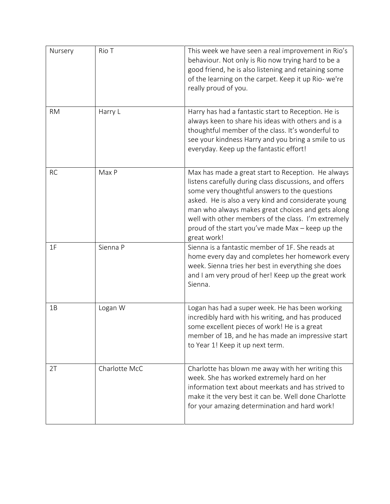| Nursery   | Rio T         | This week we have seen a real improvement in Rio's<br>behaviour. Not only is Rio now trying hard to be a<br>good friend, he is also listening and retaining some<br>of the learning on the carpet. Keep it up Rio- we're<br>really proud of you.                                                                                                                                                    |
|-----------|---------------|-----------------------------------------------------------------------------------------------------------------------------------------------------------------------------------------------------------------------------------------------------------------------------------------------------------------------------------------------------------------------------------------------------|
| <b>RM</b> | Harry L       | Harry has had a fantastic start to Reception. He is<br>always keen to share his ideas with others and is a<br>thoughtful member of the class. It's wonderful to<br>see your kindness Harry and you bring a smile to us<br>everyday. Keep up the fantastic effort!                                                                                                                                   |
| <b>RC</b> | Max P         | Max has made a great start to Reception. He always<br>listens carefully during class discussions, and offers<br>some very thoughtful answers to the questions<br>asked. He is also a very kind and considerate young<br>man who always makes great choices and gets along<br>well with other members of the class. I'm extremely<br>proud of the start you've made Max - keep up the<br>great work! |
| 1F        | Sienna P      | Sienna is a fantastic member of 1F. She reads at<br>home every day and completes her homework every<br>week. Sienna tries her best in everything she does<br>and I am very proud of her! Keep up the great work<br>Sienna.                                                                                                                                                                          |
| 1B        | Logan W       | Logan has had a super week. He has been working<br>incredibly hard with his writing, and has produced<br>some excellent pieces of work! He is a great<br>member of 1B, and he has made an impressive start<br>to Year 1! Keep it up next term.                                                                                                                                                      |
| 2T        | Charlotte McC | Charlotte has blown me away with her writing this<br>week. She has worked extremely hard on her<br>information text about meerkats and has strived to<br>make it the very best it can be. Well done Charlotte<br>for your amazing determination and hard work!                                                                                                                                      |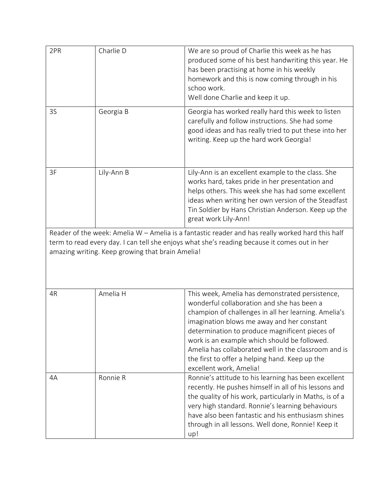| 2PR                                                                                                                                                                                                                                                  | Charlie D  | We are so proud of Charlie this week as he has<br>produced some of his best handwriting this year. He<br>has been practising at home in his weekly<br>homework and this is now coming through in his<br>schoo work.<br>Well done Charlie and keep it up.                                                                                                                                                                                   |
|------------------------------------------------------------------------------------------------------------------------------------------------------------------------------------------------------------------------------------------------------|------------|--------------------------------------------------------------------------------------------------------------------------------------------------------------------------------------------------------------------------------------------------------------------------------------------------------------------------------------------------------------------------------------------------------------------------------------------|
| 3S                                                                                                                                                                                                                                                   | Georgia B  | Georgia has worked really hard this week to listen<br>carefully and follow instructions. She had some<br>good ideas and has really tried to put these into her<br>writing. Keep up the hard work Georgia!                                                                                                                                                                                                                                  |
| 3F                                                                                                                                                                                                                                                   | Lily-Ann B | Lily-Ann is an excellent example to the class. She<br>works hard, takes pride in her presentation and<br>helps others. This week she has had some excellent<br>ideas when writing her own version of the Steadfast<br>Tin Soldier by Hans Christian Anderson. Keep up the<br>great work Lily-Ann!                                                                                                                                          |
| Reader of the week: Amelia W - Amelia is a fantastic reader and has really worked hard this half<br>term to read every day. I can tell she enjoys what she's reading because it comes out in her<br>amazing writing. Keep growing that brain Amelia! |            |                                                                                                                                                                                                                                                                                                                                                                                                                                            |
| 4R                                                                                                                                                                                                                                                   | Amelia H   | This week, Amelia has demonstrated persistence,<br>wonderful collaboration and she has been a<br>champion of challenges in all her learning. Amelia's<br>imagination blows me away and her constant<br>determination to produce magnificent pieces of<br>work is an example which should be followed.<br>Amelia has collaborated well in the classroom and is<br>the first to offer a helping hand. Keep up the<br>excellent work, Amelia! |
| 4A                                                                                                                                                                                                                                                   | Ronnie R   | Ronnie's attitude to his learning has been excellent<br>recently. He pushes himself in all of his lessons and<br>the quality of his work, particularly in Maths, is of a<br>very high standard. Ronnie's learning behaviours<br>have also been fantastic and his enthusiasm shines<br>through in all lessons. Well done, Ronnie! Keep it<br>up!                                                                                            |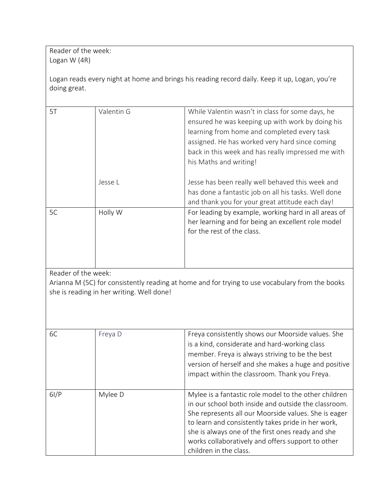Reader of the week: Logan W (4R)

Logan reads every night at home and brings his reading record daily. Keep it up, Logan, you're doing great.

| 5T | Valentin G | While Valentin wasn't in class for some days, he<br>ensured he was keeping up with work by doing his<br>learning from home and completed every task<br>assigned. He has worked very hard since coming<br>back in this week and has really impressed me with<br>his Maths and writing! |
|----|------------|---------------------------------------------------------------------------------------------------------------------------------------------------------------------------------------------------------------------------------------------------------------------------------------|
|    | Jesse L    | Jesse has been really well behaved this week and<br>has done a fantastic job on all his tasks. Well done<br>and thank you for your great attitude each day!                                                                                                                           |
| 5C | Holly W    | For leading by example, working hard in all areas of<br>her learning and for being an excellent role model<br>for the rest of the class.                                                                                                                                              |

Reader of the week:

Arianna M (5C) for consistently reading at home and for trying to use vocabulary from the books she is reading in her writing. Well done!

| 6C   | Freya D | Freya consistently shows our Moorside values. She<br>is a kind, considerate and hard-working class<br>member. Freya is always striving to be the best<br>version of herself and she makes a huge and positive<br>impact within the classroom. Thank you Freya.                                                                                                  |
|------|---------|-----------------------------------------------------------------------------------------------------------------------------------------------------------------------------------------------------------------------------------------------------------------------------------------------------------------------------------------------------------------|
| 6I/P | Mylee D | Mylee is a fantastic role model to the other children<br>in our school both inside and outside the classroom.<br>She represents all our Moorside values. She is eager<br>to learn and consistently takes pride in her work,<br>she is always one of the first ones ready and she<br>works collaboratively and offers support to other<br>children in the class. |